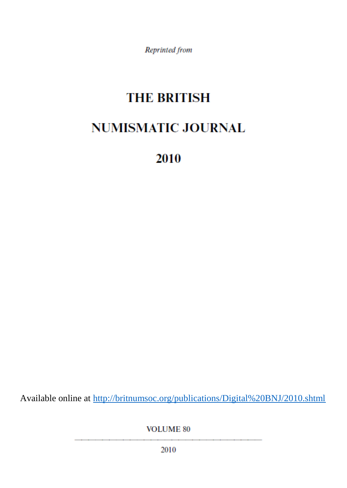Reprinted from

# **THE BRITISH**

# **NUMISMATIC JOURNAL**

2010

Available online at<http://britnumsoc.org/publications/Digital%20BNJ/2010.shtml>

**VOLUME 80** 

2010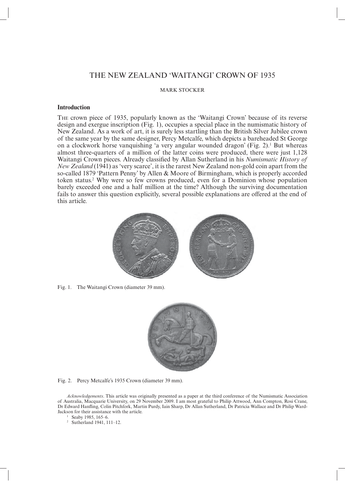MARK STOCKER

### **Introduction**

THE crown piece of 1935, popularly known as the 'Waitangi Crown' because of its reverse design and exergue inscription (Fig. 1), occupies a special place in the numismatic history of New Zealand. As a work of art, it is surely less startling than the British Silver Jubilee crown of the same year by the same designer, Percy Metcalfe, which depicts a bareheaded St George on a clockwork horse vanquishing 'a very angular wounded dragon' (Fig. 2).1 But whereas almost three-quarters of a million of the latter coins were produced, there were just 1,128 Waitangi Crown pieces. Already classified by Allan Sutherland in his *Numismatic History of New Zealand* (1941) as 'very scarce', it is the rarest New Zealand non-gold coin apart from the so-called 1879 'Pattern Penny' by Allen & Moore of Birmingham, which is properly accorded token status.2 Why were so few crowns produced, even for a Dominion whose population barely exceeded one and a half million at the time? Although the surviving documentation fails to answer this question explicitly, several possible explanations are offered at the end of this article.



Fig. 1. The Waitangi Crown (diameter 39 mm).



Fig. 2. Percy Metcalfe's 1935 Crown (diameter 39 mm).

*Acknowledgements*. This article was originally presented as a paper at the third conference of the Numismatic Association of Australia, Macquarie University, on 29 November 2009. I am most grateful to Philip Attwood, Ann Compton, Rosi Crane, Dr Edward Hanfling, Colin Pitchfork, Martin Purdy, Iain Sharp, Dr Allan Sutherland, Dr Patricia Wallace and Dr Philip Ward-Jackson for their assistance with the article.

1 Seaby 1985, 165–6.

2 Sutherland 1941, 111–12.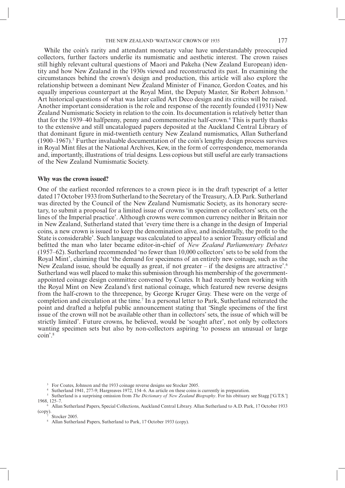While the coin's rarity and attendant monetary value have understandably preoccupied collectors, further factors underlie its numismatic and aesthetic interest. The crown raises still highly relevant cultural questions of Maori and Pakeha (New Zealand European) identity and how New Zealand in the 1930s viewed and reconstructed its past. In examining the circum stances behind the crown's design and production, this article will also explore the relationship between a dominant New Zealand Minister of Finance, Gordon Coates, and his equally imperious counterpart at the Royal Mint, the Deputy Master, Sir Robert Johnson.<sup>3</sup> Art historical questions of what was later called Art Deco design and its critics will be raised. Another important consideration is the role and response of the recently founded (1931) New Zealand Numismatic Society in relation to the coin. Its documentation is relatively better than that for the 1939–40 halfpenny, penny and commemorative half-crown.<sup>4</sup> This is partly thanks to the extensive and still uncatalogued papers deposited at the Auckland Central Library of that dominant figure in mid-twentieth century New Zealand numismatics, Allan Sutherland  $(1900-1967)$ .<sup>5</sup> Further invaluable documentation of the coin's lengthy design process survives in Royal Mint files at the National Archives, Kew, in the form of correspondence, memoranda and, importantly, illustrations of trial designs. Less copious but still useful are early transactions of the New Zealand Numismatic Society.

#### **Why was the crown issued?**

One of the earliest recorded references to a crown piece is in the draft typescript of a letter dated 17 October 1933 from Sutherland to the Secretary of the Treasury, A.D. Park. Sutherland was directed by the Council of the New Zealand Numismatic Society, as its honorary secretary, to submit a proposal for a limited issue of crowns 'in specimen or collectors' sets, on the lines of the Imperial practice'. Although crowns were common currency neither in Britain nor in New Zealand, Sutherland stated that 'every time there is a change in the design of Imperial coins, a new crown is issued to keep the denomination alive, and incidentally, the profit to the State is considerable'. Such language was calculated to appeal to a senior Treasury official and befi tted the man who later became editor-in-chief of *New Zealand Parliamentary Debates* (1957–62). Sutherland recommended 'no fewer than 10,000 collectors' sets to be sold from the Royal Mint', claiming that 'the demand for specimens of an entirely new coinage, such as the New Zealand issue, should be equally as great, if not greater – if the designs are attractive'.<sup>6</sup> Sutherland was well placed to make this submission through his membership of the governmentappointed coinage design committee convened by Coates. It had recently been working with the Royal Mint on New Zealand's first national coinage, which featured new reverse designs from the half-crown to the threepence, by George Kruger Gray. These were on the verge of completion and circulation at the time.7 In a personal letter to Park, Sutherland reiterated the point and drafted a helpful public announcement stating that 'Single specimens of the first issue of the crown will not be available other than in collectors' sets, the issue of which will be strictly limited'. Future crowns, he believed, would be 'sought after', not only by collectors wanting specimen sets but also by non-collectors aspiring 'to possess an unusual or large coin'.8

- <sup>3</sup> For Coates, Johnson and the 1933 coinage reverse designs see Stocker 2005.
- 4 Sutherland 1941, 277-9; Hargreaves 1972, 154–6. An article on these coins is currently in preparation.
- 5 Sutherland is a surprising omission from *The Dictionary of New Zealand Biography*. For his obituary see Stagg ['G.T.S.'] 1968, 125–7.
- 6 Allan Sutherland Papers, Special Collections, Auckland Central Library. Allan Sutherland to A.D. Park, 17 October 1933 (copy).

7 Stocker 2005.

8 Allan Sutherland Papers, Sutherland to Park, 17 October 1933 (copy).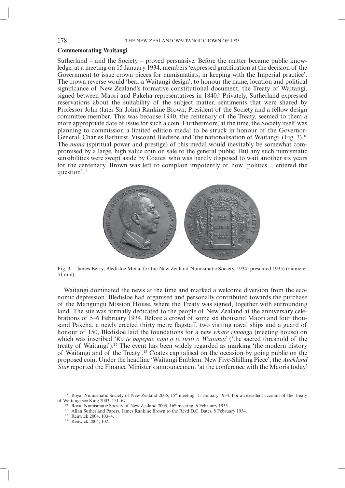### **Commemorating Waitangi**

Sutherland – and the Society – proved persuasive. Before the matter became public knowledge, at a meeting on 15 January 1934, members 'expressed gratification at the decision of the Government to issue crown pieces for numismatists, in keeping with the Imperial practice'. The crown reverse would 'bear a Waitangi design', to honour the name, location and political significance of New Zealand's formative constitutional document, the Treaty of Waitangi, signed between Maori and Pakeha representatives in 1840.<sup>9</sup> Privately, Sutherland expressed reservations about the suitability of the subject matter, sentiments that were shared by Professor John (later Sir John) Rankine Brown, President of the Society and a fellow design committee member. This was because 1940, the centenary of the Treaty, seemed to them a more appropriate date of issue for such a coin. Furthermore, at the time, the Society itself was planning to commission a limited edition medal to be struck in honour of the Governor-General, Charles Bathurst, Viscount Bledisoe and 'the nationalisation of Waitangi' (Fig. 3).<sup>10</sup> The *mana* (spiritual power and prestige) of this medal would inevitably be somewhat compromised by a large, high value coin on sale to the general public. But any such numismatic sensibilities were swept aside by Coates, who was hardly disposed to wait another six years for the centenary. Brown was left to complain impotently of how 'politics… entered the question'.11



Fig. 3. James Berry, Bledisloe Medal for the New Zealand Numismatic Society, 1934 (presented 1935) (diameter 51 mm).

Waitangi dominated the news at the time and marked a welcome diversion from the economic depression. Bledisloe had organised and personally contributed towards the purchase of the Mangungu Mission House, where the Treaty was signed, together with surrounding land. The site was formally dedicated to the people of New Zealand at the anniversary celebrations of 5–6 February 1934. Before a crowd of some six thousand Maori and four thousand Pakeha, a newly erected thirty metre flagstaff, two visiting naval ships and a guard of honour of 150, Bledisloe laid the foundations for a new *whare runanga* (meeting house) on which was inscribed '*Ko te papepae tapu o te tiriti o Waitangi*' ('the sacred threshold of the treaty of Waitangi').12 The event has been widely regarded as marking 'the modern history of Waitangi and of the Treaty'.13 Coates capitalised on the occasion by going public on the proposed coin. Under the headline 'Waitangi Emblem: New Five-Shilling Piece', the *Auckland Star* reported the Finance Minister's announcement 'at the conference with the Maoris today'

<sup>9</sup> Royal Numismatic Society of New Zealand 2005, 15<sup>th</sup> meeting, 15 January 1934. For an excellent account of the Treaty of Waitangi see King 2003, 151–67.<br><sup>10</sup> Royal Numismatic Society of New Zealand 2005, 16<sup>th</sup> meeting, 6 February 1935.

<sup>&</sup>lt;sup>11</sup> Allan Sutherland Papers, James Rankine Brown to the Revd D.C. Bates, 8 February 1934.

<sup>12</sup> Renwick 2004, 103–4.

<sup>13</sup> Renwick 2004, 102.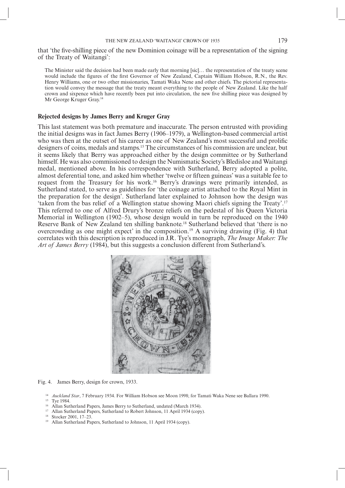that 'the five-shilling piece of the new Dominion coinage will be a representation of the signing of the Treaty of Waitangi':

The Minister said the decision had been made early that morning [sic]… the representation of the treaty scene would include the figures of the first Governor of New Zealand, Captain William Hobson, R.N., the Rev. Henry Williams, one or two other missionaries, Tamati Waka Nene and other chiefs. The pictorial representation would convey the message that the treaty meant everything to the people of New Zealand. Like the half crown and sixpence which have recently been put into circulation, the new five shilling piece was designed by Mr George Kruger Gray.14

### **Rejected designs by James Berry and Kruger Gray**

This last statement was both premature and inaccurate. The person entrusted with providing the initial designs was in fact James Berry (1906–1979), a Wellington-based commercial artist who was then at the outset of his career as one of New Zealand's most successful and prolific designers of coins, medals and stamps.15 The circumstances of his commission are unclear, but it seems likely that Berry was approached either by the design committee or by Sutherland himself. He was also commissioned to design the Numismatic Society's Bledisloe and Waitangi medal, mentioned above. In his correspondence with Sutherland, Berry adopted a polite, almost deferential tone, and asked him whether 'twelve or fi fteen guineas' was a suitable fee to request from the Treasury for his work.<sup>16</sup> Berry's drawings were primarily intended, as Sutherland stated, to serve as guidelines for 'the coinage artist attached to the Royal Mint in the preparation for the design'. Sutherland later explained to Johnson how the design was 'taken from the bas relief of a Wellington statue showing Maori chiefs signing the Treaty'.17 This referred to one of Alfred Drury's bronze reliefs on the pedestal of his Queen Victoria Memorial in Wellington (1902–5), whose design would in turn be reproduced on the 1940 Reserve Bank of New Zealand ten shilling banknote.<sup>18</sup> Sutherland believed that 'there is no overcrowding as one might expect' in the composition.<sup>19</sup> A surviving drawing (Fig. 4) that correlates with this description is reproduced in J.R. Tye's monograph, *The Image Maker: The Art of James Berry* (1984), but this suggests a conclusion different from Sutherland's.



Fig. 4. James Berry, design for crown, 1933.

- <sup>14</sup> *Auckland Star*, 7 February 1934. For William Hobson see Moon 1998; for Tamati Waka Nene see Ballara 1990.
- <sup>15</sup> Tye 1984.
- <sup>16</sup> Allan Sutherland Papers, James Berry to Sutherland, undated (March 1934).
- <sup>17</sup> Allan Sutherland Papers, Sutherland to Robert Johnson, 11 April 1934 (copy).
- Stocker 2001, 17–23.
- <sup>19</sup> Allan Sutherland Papers, Sutherland to Johnson, 11 April 1934 (copy).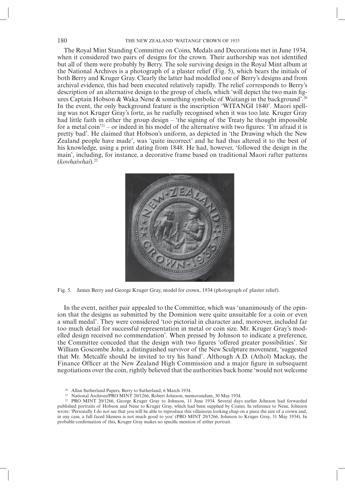The Royal Mint Standing Committee on Coins, Medals and Decorations met in June 1934, when it considered two pairs of designs for the crown. Their authorship was not identified but all of them were probably by Berry. The sole surviving design in the Royal Mint album at the National Archives is a photograph of a plaster relief (Fig. 5), which bears the initials of both Berry and Kruger Gray. Clearly the latter had modelled one of Berry's designs and from archival evidence, this had been executed relatively rapidly. The relief corresponds to Berry's description of an alternative design to the group of chiefs, which 'will depict the two main figures Captain Hobson & Waka Nene & something symbolic of Waitangi in the background'.20 In the event, the only background feature is the inscription 'WITANGI 1840'. Maori spelling was not Kruger Gray's forte, as he ruefully recognised when it was too late. Kruger Gray had little faith in either the group design – 'the signing of the Treaty he thought impossible for a metal coin<sup>'21</sup> – or indeed in his model of the alternative with two figures: 'I'm afraid it is pretty bad'. He claimed that Hobson's uniform, as depicted in 'the Drawing which the New Zealand people have made', was 'quite incorrect' and he had thus altered it to the best of his knowledge, using a print dating from 1848. He had, however, 'followed the design in the main', including, for instance, a decorative frame based on traditional Maori rafter patterns (*kowhaiwhai*).<sup>22</sup>



Fig. 5. James Berry and George Kruger Gray, model for crown, 1934 (photograph of plaster relief).

In the event, neither pair appealed to the Committee, which was 'unanimously of the opinion that the designs as submitted by the Dominion were quite unsuitable for a coin or even a small medal'. They were considered 'too pictorial in character and, moreover, included far too much detail for successful representation in metal or coin size. Mr. Kruger Gray's modelled design received no commendation'. When pressed by Johnson to indicate a preference, the Committee conceded that the design with two figures 'offered greater possibilities'. Sir William Goscombe John, a distinguished survivor of the New Sculpture movement, 'suggested that Mr. Metcalfe should be invited to try his hand'. Although A.D. (Athol) Mackay, the Finance Officer at the New Zealand High Commission and a major figure in subsequent negotiations over the coin, rightly believed that the authorities back home 'would not welcome

Allan Sutherland Papers, Berry to Sutherland, 6 March 1934.

<sup>&</sup>lt;sup>21</sup> National Archives/PRO MINT 20/1266, Robert Johnson, memorandum, 30 May 1934.

<sup>22</sup> PRO MINT 20/1266, George Kruger Gray to Johnson, 11 June 1934. Several days earlier Johnson had forwarded published portraits of Hobson and Nene to Kruger Gray, which had been supplied by Coates. In reference to Nene, Johnson wrote: 'Personally I do not see that you will be able to reproduce this villainous looking chap on a piece the size of a crown and, in any case, a full faced likeness is not much good to you' (PRO MINT 20/1266, Johnson to Kruger Gray, 31 May 1934). In probable confirmation of this, Kruger Gray makes no specific mention of either portrait.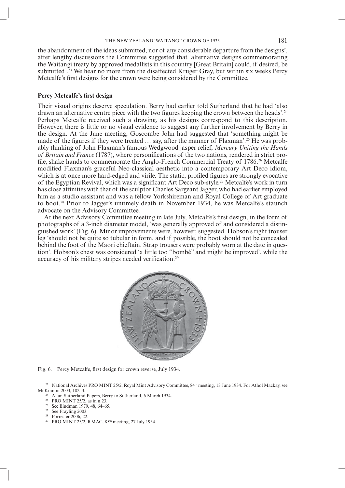the abandonment of the ideas submitted, nor of any considerable departure from the designs', after lengthy discussions the Committee suggested that 'alternative designs commemorating the Waitangi treaty by approved medallists in this country [Great Britain] could, if desired, be submitted'.<sup>23</sup> We hear no more from the disaffected Kruger Gray, but within six weeks Percy Metcalfe's first designs for the crown were being considered by the Committee.

#### **Percy Metcalfe's first design**

Their visual origins deserve speculation. Berry had earlier told Sutherland that he had 'also drawn an alternative centre piece with the two figures keeping the crown between the heads'.<sup>24</sup> Perhaps Metcalfe received such a drawing, as his designs correspond to this description. However, there is little or no visual evidence to suggest any further involvement by Berry in the design. At the June meeting, Goscombe John had suggested that 'something might be made of the figures if they were treated  $\ldots$  say, after the manner of Flaxman'.<sup>25</sup> He was probably thinking of John Flaxman's famous Wedgwood jasper relief, *Mercury Uniting the Hands*  of Britain and France (1787), where personifications of the two nations, rendered in strict profile, shake hands to commemorate the Anglo-French Commercial Treaty of 1786.<sup>26</sup> Metcalfe modified Flaxman's graceful Neo-classical aesthetic into a contemporary Art Deco idiom, which is at once more hard-edged and virile. The static, profiled figures are strongly evocative of the Egyptian Revival, which was a significant Art Deco sub-style.<sup>27</sup> Metcalfe's work in turn has close affinities with that of the sculptor Charles Sargeant Jagger, who had earlier employed him as a studio assistant and was a fellow Yorkshireman and Royal College of Art graduate to boot.28 Prior to Jagger's untimely death in November 1934, he was Metcalfe's staunch advocate on the Advisory Committee.

At the next Advisory Committee meeting in late July, Metcalfe's first design, in the form of photographs of a 3-inch diameter model, 'was generally approved of and considered a distinguished work' (Fig. 6). Minor improvements were, however, suggested. Hobson's right trouser leg 'should not be quite so tubular in form, and if possible, the boot should not be concealed behind the foot of the Maori chieftain. Strap trousers were probably worn at the date in question'. Hobson's chest was considered 'a little too "bombé" and might be improved', while the accuracy of his military stripes needed verification.<sup>29</sup>



Fig. 6. Percy Metcalfe, first design for crown reverse, July 1934.

- 26 See Bindman 1979, 48, 64–65.
- 27 See Frayling 2003.
- 28 Forrester 2006, 22.
- <sup>29</sup> PRO MINT 25/2, RMAC, 85<sup>th</sup> meeting, 27 July 1934.

<sup>&</sup>lt;sup>23</sup> National Archives PRO MINT 25/2, Royal Mint Advisory Committee, 84<sup>th</sup> meeting, 13 June 1934. For Athol Mackay, see McKinnon 2003, 182–3.

<sup>24</sup> Allan Sutherland Papers, Berry to Sutherland, 6 March 1934.

<sup>25</sup> PRO MINT 25/2, as in n.23.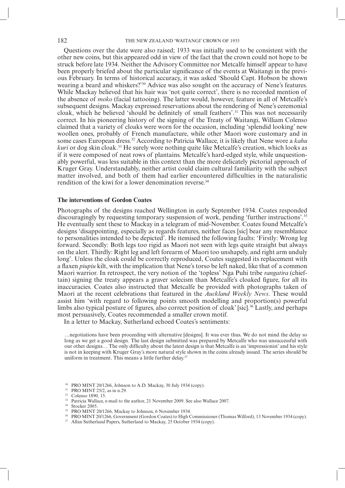Questions over the date were also raised; 1933 was initially used to be consistent with the other new coins, but this appeared odd in view of the fact that the crown could not hope to be struck before late 1934. Neither the Advisory Committee nor Metcalfe himself appear to have been properly briefed about the particular significance of the events at Waitangi in the previous February. In terms of historical accuracy, it was asked 'Should Capt. Hobson be shown wearing a beard and whiskers?'30 Advice was also sought on the accuracy of Nene's features. While Mackay believed that his hair was 'not quite correct', there is no recorded mention of the absence of *moko* (facial tattooing). The latter would, however, feature in all of Metcalfe's subsequent designs. Mackay expressed reservations about the rendering of Nene's ceremonial cloak, which he believed 'should be definitely of small feathers'.<sup>31</sup> This was not necessarily correct. In his pioneering history of the signing of the Treaty of Waitangi, William Colenso claimed that a variety of cloaks were worn for the occasion, including 'splendid looking' new woollen ones, probably of French manufacture, while other Maori wore customary and in some cases European dress.32 According to Patricia Wallace, it is likely that Nene wore a *kahu kuri* or dog skin cloak.<sup>33</sup> He surely wore nothing quite like Metcalfe's creation, which looks as if it were composed of neat rows of plantains. Metcalfe's hard-edged style, while unquestionably powerful, was less suitable in this context than the more delicately pictorial approach of Kruger Gray. Understandably, neither artist could claim cultural familiarity with the subject matter involved, and both of them had earlier encountered difficulties in the naturalistic rendition of the kiwi for a lower denomination reverse.<sup>34</sup>

#### **The interventions of Gordon Coates**

Photographs of the designs reached Wellington in early September 1934. Coates responded discouragingly by requesting temporary suspension of work, pending 'further instructions'.<sup>35</sup> He eventually sent these to Mackay in a telegram of mid-November. Coates found Metcalfe's designs 'disappointing, especially as regards features, neither faces [sic] bear any resemblance to personalities intended to be depicted'. He itemised the following faults: 'Firstly: Wrong leg forward. Secondly: Both legs too rigid as Maori not seen with legs quite straight but always on the alert. Thirdly: Right leg and left forearm of Maori too unshapely, and right arm unduly long'. Unless the cloak could be correctly reproduced, Coates suggested its replacement with a flaxen *piupiu* kilt, with the implication that Nene's torso be left naked, like that of a common Maori warrior. In retrospect, the very notion of the 'topless' Nga Puhi tribe *rangatira* (chieftain) signing the treaty appears a graver solecism than Metcalfe's cloaked figure, for all its inaccuracies. Coates also instructed that Metcalfe be provided with photographs taken of Maori at the recent celebrations that featured in the *Auckland Weekly News*. These would assist him 'with regard to following points smooth modelling and proportion(s) powerful limbs also typical posture of figures, also correct position of cloak' [sic].<sup>36</sup> Lastly, and perhaps most persuasively, Coates recommended a smaller crown motif.

In a letter to Mackay, Sutherland echoed Coates's sentiments:

…negotiations have been proceeding with alternative [designs]. It was ever thus. We do not mind the delay so long as we get a good design. The last design submitted was prepared by Metcalfe who was unsuccessful with our other designs... The only difficulty about the latest design is that Metcalfe is an 'impressionist' and his style is not in keeping with Kruger Gray's more natural style shown in the coins already issued. The series should be uniform in treatment. This means a little further delay.<sup>37</sup>

<sup>37</sup> Allan Sutherland Papers, Sutherland to Mackay, 25 October 1934 (copy).

<sup>30</sup> PRO MINT 20/1266, Johnson to A.D. Mackay, 30 July 1934 (copy).

<sup>31</sup> PRO MINT 25/2, as in n.29.

<sup>&</sup>lt;sup>32</sup> Colenso 1890, 15.

<sup>&</sup>lt;sup>33</sup> Patricia Wallace, e-mail to the author, 21 November 2009. See also Wallace 2007.

<sup>34</sup> Stocker 2005.

<sup>35</sup> PRO MINT 20/1266, Mackay to Johnson, 6 November 1934.

<sup>36</sup> PRO MINT 20/1266, Government (Gordon Coates) to High Commissioner (Thomas Wilford), 13 November 1934 (copy).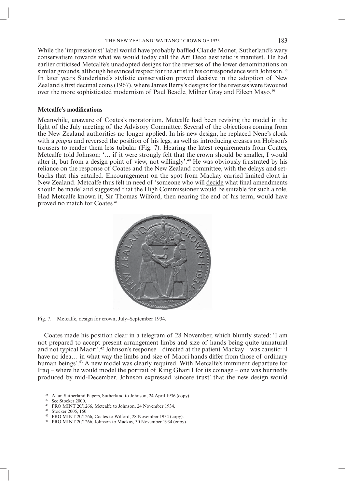While the 'impressionist' label would have probably baffled Claude Monet, Sutherland's wary conservatism towards what we would today call the Art Deco aesthetic is manifest. He had earlier criticised Metcalfe's unadopted designs for the reverses of the lower denominations on similar grounds, although he evinced respect for the artist in his correspondence with Johnson.<sup>38</sup> In later years Sunderland's stylistic conservatism proved decisive in the adoption of New Zealand's first decimal coins (1967), where James Berry's designs for the reverses were favoured over the more sophisticated modernism of Paul Beadle, Milner Gray and Eileen Mayo.<sup>39</sup>

#### **Metcalfe's modifications**

Meanwhile, unaware of Coates's moratorium, Metcalfe had been revising the model in the light of the July meeting of the Advisory Committee. Several of the objections coming from the New Zealand authorities no longer applied. In his new design, he replaced Nene's cloak with a *piupiu* and reversed the position of his legs, as well as introducing creases on Hobson's trousers to render them less tubular (Fig. 7). Hearing the latest requirements from Coates, Metcalfe told Johnson: '… if it were strongly felt that the crown should be smaller, I would alter it, but from a design point of view, not willingly'.40 He was obviously frustrated by his reliance on the response of Coates and the New Zealand committee, with the delays and setbacks that this entailed. Encouragement on the spot from Mackay carried limited clout in New Zealand. Metcalfe thus felt in need of 'someone who will decide what final amendments should be made' and suggested that the High Commissioner would be suitable for such a role. Had Metcalfe known it, Sir Thomas Wilford, then nearing the end of his term, would have proved no match for Coates.<sup>41</sup>



Fig. 7. Metcalfe, design for crown, July–September 1934.

Coates made his position clear in a telegram of 28 November, which bluntly stated: 'I am not prepared to accept present arrangement limbs and size of hands being quite unnatural and not typical Maori'.42 Johnson's response – directed at the patient Mackay – was caustic: 'I have no idea... in what way the limbs and size of Maori hands differ from those of ordinary human beings'.<sup>43</sup> A new model was clearly required. With Metcalfe's imminent departure for Iraq – where he would model the portrait of King Ghazi I for its coinage – one was hurriedly produced by mid-December. Johnson expressed 'sincere trust' that the new design would

- Allan Sutherland Papers, Sutherland to Johnson, 24 April 1936 (copy).
- See Stocker 2000.
- 40 PRO MINT 20/1266, Metcalfe to Johnson, 24 November 1934.
- 41 Stocker 2005, 150.
- 42 PRO MINT 20/1266, Coates to Wilford, 28 November 1934 (copy).
- 43 PRO MINT 20/1266, Johnson to Mackay, 30 November 1934 (copy).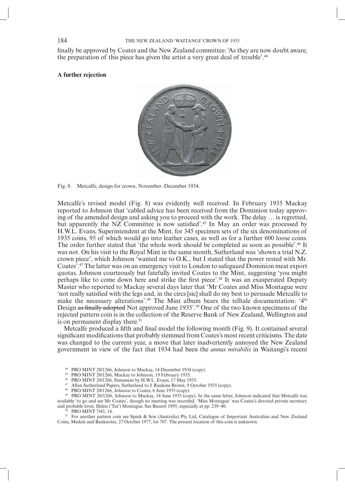finally be approved by Coates and the New Zealand committee: 'As they are now doubt aware, the preparation of this piece has given the artist a very great deal of trouble'.<sup>44</sup>

### **A further rejection**



Fig. 8. Metcalfe, design for crown, November–December 1934.

Metcalfe's revised model (Fig. 8) was evidently well received. In February 1935 Mackay reported to Johnson that 'cabled advice has been received from the Dominion today approving of the amended design and asking you to proceed with the work. The delay … is regretted, but apparently the NZ Committee is now satisfied'.<sup>45</sup> In May an order was processed by H.W.L. Evans, Superintendent at the Mint, for 345 specimen sets of the six denominations of 1935 coins, 95 of which would go into leather cases, as well as for a further 600 loose coins. The order further stated that 'the whole work should be completed as soon as possible'.<sup>46</sup> It was not. On his visit to the Royal Mint in the same month, Sutherland was 'shown a trial N.Z. crown piece', which Johnson 'wanted me to O.K., but I stated that the power rested with Mr. Coates'.47 The latter was on an emergency visit to London to safeguard Dominion meat export quotas. Johnson courteously but fatefully invited Coates to the Mint, suggesting 'you might perhaps like to come down here and strike the first piece'.<sup>48</sup> It was an exasperated Deputy Master who reported to Mackay several days later that 'Mr Coates and Miss Montague were 'not really satisfied with the legs and, in the circs [sic] shall do my best to persuade Metcalfe to make the necessary alterations'.<sup>49</sup> The Mint album bears the telltale documentation: '4<sup>th</sup> Design as finally adopted Not approved June 1935'.<sup>50</sup> One of the two known specimens of the rejected pattern coin is in the collection of the Reserve Bank of New Zealand, Wellington and is on permanent display there.<sup>51</sup>

Metcalfe produced a fifth and final model the following month (Fig. 9). It contained several significant modifications that probably stemmed from Coates's most recent criticisms. The date was changed to the current year, a move that later inadvertently annoyed the New Zealand government in view of the fact that 1934 had been the *annus mirabilis* in Waitangi's recent

- 44 PRO MINT 20/1266, Johnson to Mackay, 14 December 1934 (copy).
- 45 PRO MINT 20/1266, Mackay to Johnson, 19 February 1935.
- 46 PRO MINT 20/1266, Statement by H.W.L. Evans, 17 May 1935.
- 47 Allan Sutherland Papers, Sutherland to J. Rankine Brown, 9 October 1935 (copy).
- 48 PRO MINT 20/1266, Johnson to Coates, 6 June 1935 (copy).

49 PRO MINT 20/1266, Johnson to Mackay, 14 June 1935 (copy). In the same letter, Johnson indicated that Metcalfe was available 'to go and see Mr Coates', though no meeting was recorded. 'Miss Montague' was Coates's devoted private secretary and probable lover, Helen ('Tui') Montague. See Bassett 1995, especially at pp. 239–40.

**PRO MINT 7/43, 14.** 

51 For another pattern coin see Spink & Son (Australia) Pty Ltd, Catalogue of Important Australian and New Zealand Coins, Medals and Banknotes, 27 October 1977, lot 707. The present location of this coin is unknown.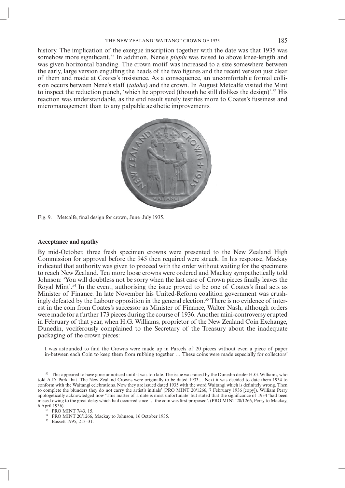history. The implication of the exergue inscription together with the date was that 1935 was somehow more significant.<sup>52</sup> In addition, Nene's *piupiu* was raised to above knee-length and was given horizontal banding. The crown motif was increased to a size somewhere between the early, large version engulfing the heads of the two figures and the recent version just clear of them and made at Coates's insistence. As a consequence, an uncomfortable formal collision occurs between Nene's staff (*taiaha*) and the crown. In August Metcalfe visited the Mint to inspect the reduction punch, 'which he approved (though he still dislikes the design)'.<sup>53</sup> His reaction was understandable, as the end result surely testifies more to Coates's fussiness and micromanagement than to any palpable aesthetic improvements.



Fig. 9. Metcalfe, final design for crown, June–July 1935.

#### **Acceptance and apathy**

By mid-October, three fresh specimen crowns were presented to the New Zealand High Commission for approval before the 945 then required were struck. In his response, Mackay indicated that authority was given to proceed with the order without waiting for the specimens to reach New Zealand. Ten more loose crowns were ordered and Mackay sympathetically told Johnson: 'You will doubtless not be sorry when the last case of Crown pieces finally leaves the Royal Mint'.<sup>54</sup> In the event, authorising the issue proved to be one of Coates's final acts as Minister of Finance. In late November his United-Reform coalition government was crushingly defeated by the Labour opposition in the general election.<sup>55</sup> There is no evidence of interest in the coin from Coates's successor as Minister of Finance, Walter Nash, although orders were made for a further 173 pieces during the course of 1936. Another mini-controversy erupted in February of that year, when H.G. Williams, proprietor of the New Zealand Coin Exchange, Dunedin, vociferously complained to the Secretary of the Treasury about the inadequate packaging of the crown pieces:

I was astounded to find the Crowns were made up in Parcels of 20 pieces without even a piece of paper in-between each Coin to keep them from rubbing together … These coins were made especially for collectors'

<sup>&</sup>lt;sup>52</sup> This appeared to have gone unnoticed until it was too late. The issue was raised by the Dunedin dealer H.G. Williams, who told A.D. Park that 'The New Zealand Crowns were originally to be dated 1933… Next it was decided to date them 1934 to conform with the Waitangi celebrations. Now they are issued dated 1935 with the word Waitangi which is definitely wrong. Then to complete the blunders they do not carry the artist's initials' (PRO MINT 20/1266, 7 February 1936 [copy]). William Perry apologetically acknowledged how 'This matter of a date is most unfortunate' but stated that the significance of 1934 'had been missed owing to the great delay which had occurred since ... the coin was first proposed'. (PRO MINT 20/1266, Perry to Mackay, 6 April 1936). 53 PRO MINT 7/43, 15.

<sup>54</sup> PRO MINT 20/1266, Mackay to Johnson, 16 October 1935.

<sup>&</sup>lt;sup>55</sup> Bassett 1995, 213-31.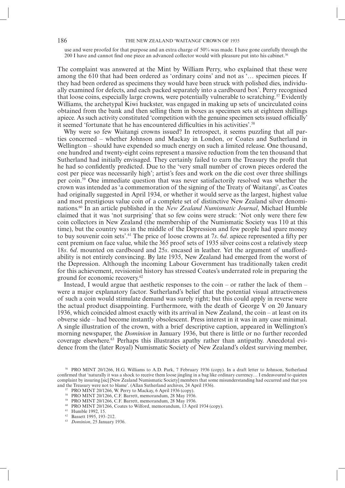use and were proofed for that purpose and an extra charge of 50% was made. I have gone carefully through the 200 I have and cannot find one piece an advanced collector would with pleasure put into his cabinet.<sup>56</sup>

The complaint was answered at the Mint by William Perry, who explained that these were among the 610 that had been ordered as 'ordinary coins' and not as '… specimen pieces. If they had been ordered as specimens they would have been struck with polished dies, individually examined for defects, and each packed separately into a cardboard box'. Perry recognised that loose coins, especially large crowns, were potentially vulnerable to scratching.57 Evidently Williams, the archetypal Kiwi huckster, was engaged in making up sets of uncirculated coins obtained from the bank and then selling them in boxes as specimen sets at eighteen shillings apiece. As such activity constituted 'competition with the genuine specimen sets issued officially' it seemed 'fortunate that he has encountered difficulties in his activities'.<sup>58</sup>

Why were so few Waitangi crowns issued? In retrospect, it seems puzzling that all parties concerned – whether Johnson and Mackay in London, or Coates and Sutherland in Wellington – should have expended so much energy on such a limited release. One thousand, one hundred and twenty-eight coins represent a massive reduction from the ten thousand that Sutherland had initially envisaged. They certainly failed to earn the Treasury the profi t that he had so confidently predicted. Due to the 'very small number of crown pieces ordered the cost per piece was necessarily high'; artist's fees and work on the die cost over three shillings per coin.59 One immediate question that was never satisfactorily resolved was whether the crown was intended as 'a commemoration of the signing of the Treaty of Waitangi', as Coates had originally suggested in April 1934, or whether it would serve as the largest, highest value and most prestigious value coin of a complete set of distinctive New Zealand silver denominations.60 In an article published in the *New Zealand Numismatic Journal*, Michael Humble claimed that it was 'not surprising' that so few coins were struck: 'Not only were there few coin collectors in New Zealand (the membership of the Numismatic Society was 110 at this time), but the country was in the middle of the Depression and few people had spare money to buy souvenir coin sets'.<sup>61</sup> The price of loose crowns at 7*s*. 6*d*. apiece represented a fifty per cent premium on face value, while the 365 proof sets of 1935 silver coins cost a relatively steep 18*s*. 6*d*. mounted on cardboard and 25*s*. encased in leather. Yet the argument of unaffordability is not entirely convincing. By late 1935, New Zealand had emerged from the worst of the Depression. Although the incoming Labour Government has traditionally taken credit for this achievement, revisionist history has stressed Coates's underrated role in preparing the ground for economic recovery.62

Instead, I would argue that aesthetic responses to the coin – or rather the lack of them – were a major explanatory factor. Sutherland's belief that the potential visual attractiveness of such a coin would stimulate demand was surely right; but this could apply in reverse were the actual product disappointing. Furthermore, with the death of George V on 20 January 1936, which coincided almost exactly with its arrival in New Zealand, the coin – at least on its obverse side – had become instantly obsolescent. Press interest in it was in any case minimal. A single illustration of the crown, with a brief descriptive caption, appeared in Wellington's morning newspaper, the *Dominion* in January 1936, but there is little or no further recorded coverage elsewhere.63 Perhaps this illustrates apathy rather than antipathy. Anecdotal evidence from the (later Royal) Numismatic Society of New Zealand's oldest surviving member,

60 PRO MINT 20/1266, Coates to Wilford, memorandum, 13 April 1934 (copy).

<sup>56</sup> PRO MINT 20/1266, H.G. Williams to A.D. Park, 7 February 1936 (copy). In a draft letter to Johnson, Sutherland confirmed that 'naturally it was a shock to receive them loose jingling in a bag like ordinary currency... I endeavoured to quieten complaint by insuring [sic] [New Zealand Numismatic Society] members that some misunderstanding had occurred and that you and the Treasury were not to blame'. (Allan Sutherland archives, 24 April 1936).

 $57$  PRO MINT 20/1266, W. Perry to Mackay, 6 April 1936 (copy).

<sup>58</sup> PRO MINT 20/1266, C.F. Barrett, memorandum, 28 May 1936.

<sup>59</sup> PRO MINT 20/1266, C.F. Barrett, memorandum, 28 May 1936.

<sup>61</sup> Humble 1992, 15.

<sup>62</sup> Bassett 1995, 193–212.

<sup>63</sup> *Dominion*, 25 January 1936.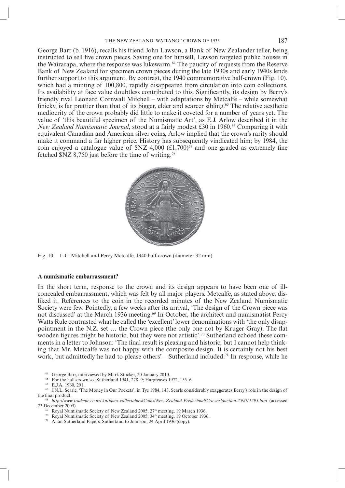George Barr (b. 1916), recalls his friend John Lawson, a Bank of New Zealander teller, being instructed to sell five crown pieces. Saving one for himself, Lawson targeted public houses in the Wairarapa, where the response was lukewarm.64 The paucity of requests from the Reserve Bank of New Zealand for specimen crown pieces during the late 1930s and early 1940s lends further support to this argument. By contrast, the 1940 commemorative half-crown (Fig. 10), which had a minting of 100,800, rapidly disappeared from circulation into coin collections. Its availability at face value doubtless contributed to this. Significantly, its design by Berry's friendly rival Leonard Cornwall Mitchell – with adaptations by Metcalfe – while somewhat finicky, is far prettier than that of its bigger, elder and scarcer sibling.<sup>65</sup> The relative aesthetic mediocrity of the crown probably did little to make it coveted for a number of years yet. The value of 'this beautiful specimen of the Numismatic Art', as E.J. Arlow described it in the *New Zealand Numismatic Journal*, stood at a fairly modest £30 in 1960.66 Comparing it with equivalent Canadian and American silver coins, Arlow implied that the crown's rarity should make it command a far higher price. History has subsequently vindicated him; by 1984, the coin enjoyed a catalogue value of  $NZ$  4,000 (£1,700)<sup>67</sup> and one graded as extremely fine fetched \$NZ 8,750 just before the time of writing.68



Fig. 10. L.C. Mitchell and Percy Metcalfe, 1940 half-crown (diameter 32 mm).

#### **A numismatic embarrassment?**

In the short term, response to the crown and its design appears to have been one of illconcealed embarrassment, which was felt by all major players. Metcalfe, as stated above, disliked it. References to the coin in the recorded minutes of the New Zealand Numismatic Society were few. Pointedly, a few weeks after its arrival, 'The design of the Crown piece was not discussed' at the March 1936 meeting.<sup>69</sup> In October, the architect and numismatist Percy Watts Rule contrasted what he called the 'excellent' lower denominations with 'the only disappointment in the N.Z. set ... the Crown piece (the only one not by Kruger Gray). The flat wooden figures might be historic, but they were not artistic'.<sup>70</sup> Sutherland echoed these comments in a letter to Johnson: 'The final result is pleasing and historic, but I cannot help thinking that Mr. Metcalfe was not happy with the composite design. It is certainly not his best work, but admittedly he had to please others' – Sutherland included.<sup>71</sup> In response, while he

- George Barr, interviewed by Mark Stocker, 20 January 2010.
- 65 For the half-crown see Sutherland 1941, 278–9; Hargreaves 1972, 155–6.
- 66 E.J.A. 1960, 291.
- 67 J.N.L. Searle, 'The Money in Our Pockets', in Tye 1984, 143. Searle considerably exaggerates Berry's role in the design of the final product.
- <sup>68</sup> *http://www.trademe.co.nz/Antiques-collectables/Coins/New-Zealand-Predecimal/Crowns/auction-259011295.htm* (accessed 23 December 2009).
	- Royal Numismatic Society of New Zealand 2005,  $27<sup>th</sup>$  meeting, 19 March 1936.
	- <sup>70</sup> Royal Numismatic Society of New Zealand 2005, 34<sup>th</sup> meeting, 19 October 1936.
	- 71 Allan Sutherland Papers, Sutherland to Johnson, 24 April 1936 (copy).